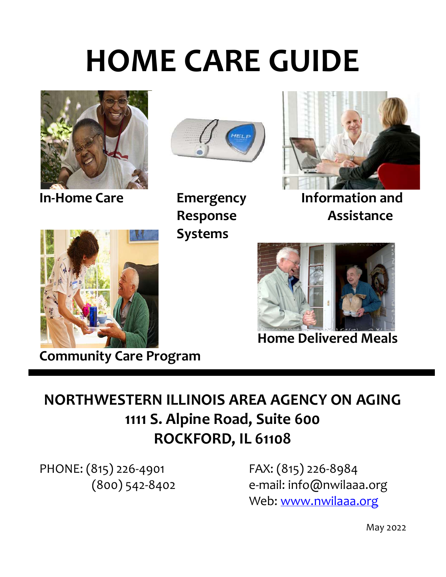# HOME CARE GUIDE





Systems



In-Home Care Emergency Information and Response **Assistance** 



Community Care Program



Home Delivered Meals

## NORTHWESTERN ILLINOIS AREA AGENCY ON AGING 1111 S. Alpine Road, Suite 600 ROCKFORD, IL 61108

PHONE: (815) 226-4901 FAX: (815) 226-8984

(800) 542-8402 e-mail: info@nwilaaa.org Web: www.nwilaaa.org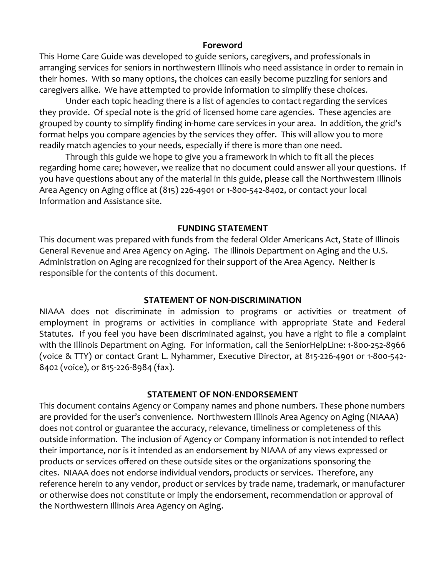#### Foreword

This Home Care Guide was developed to guide seniors, caregivers, and professionals in arranging services for seniors in northwestern Illinois who need assistance in order to remain in their homes. With so many options, the choices can easily become puzzling for seniors and caregivers alike. We have attempted to provide information to simplify these choices.

 Under each topic heading there is a list of agencies to contact regarding the services they provide. Of special note is the grid of licensed home care agencies. These agencies are grouped by county to simplify finding in-home care services in your area. In addition, the grid's format helps you compare agencies by the services they offer. This will allow you to more readily match agencies to your needs, especially if there is more than one need.

 Through this guide we hope to give you a framework in which to fit all the pieces regarding home care; however, we realize that no document could answer all your questions. If you have questions about any of the material in this guide, please call the Northwestern Illinois Area Agency on Aging office at (815) 226-4901 or 1-800-542-8402, or contact your local Information and Assistance site.

#### FUNDING STATEMENT

This document was prepared with funds from the federal Older Americans Act, State of Illinois General Revenue and Area Agency on Aging. The Illinois Department on Aging and the U.S. Administration on Aging are recognized for their support of the Area Agency. Neither is responsible for the contents of this document.

#### STATEMENT OF NON-DISCRIMINATION

NIAAA does not discriminate in admission to programs or activities or treatment of employment in programs or activities in compliance with appropriate State and Federal Statutes. If you feel you have been discriminated against, you have a right to file a complaint with the Illinois Department on Aging. For information, call the SeniorHelpLine: 1-800-252-8966 (voice & TTY) or contact Grant L. Nyhammer, Executive Director, at 815-226-4901 or 1-800-542- 8402 (voice), or 815-226-8984 (fax).

#### STATEMENT OF NON-ENDORSEMENT

This document contains Agency or Company names and phone numbers. These phone numbers are provided for the user's convenience. Northwestern Illinois Area Agency on Aging (NIAAA) does not control or guarantee the accuracy, relevance, timeliness or completeness of this outside information. The inclusion of Agency or Company information is not intended to reflect their importance, nor is it intended as an endorsement by NIAAA of any views expressed or products or services offered on these outside sites or the organizations sponsoring the cites. NIAAA does not endorse individual vendors, products or services. Therefore, any reference herein to any vendor, product or services by trade name, trademark, or manufacturer or otherwise does not constitute or imply the endorsement, recommendation or approval of the Northwestern Illinois Area Agency on Aging.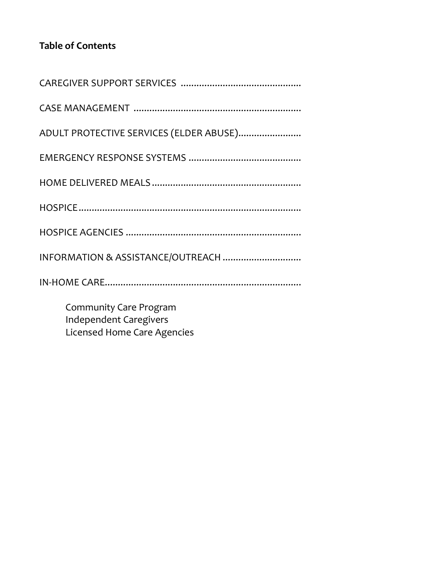### Table of Contents

| ADULT PROTECTIVE SERVICES (ELDER ABUSE)                        |
|----------------------------------------------------------------|
|                                                                |
|                                                                |
|                                                                |
|                                                                |
|                                                                |
|                                                                |
| <b>Community Care Program</b><br><b>Independent Caregivers</b> |

Licensed Home Care Agencies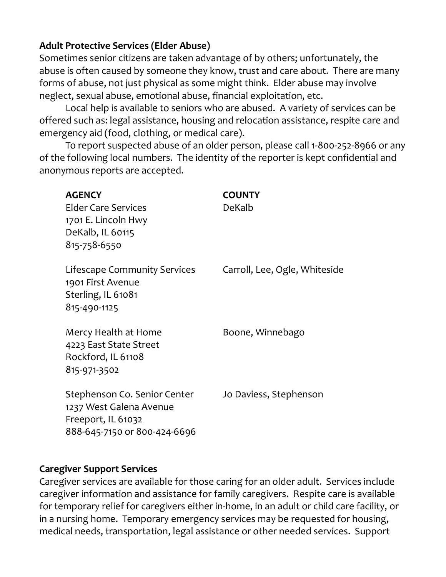#### Adult Protective Services (Elder Abuse)

Sometimes senior citizens are taken advantage of by others; unfortunately, the abuse is often caused by someone they know, trust and care about. There are many forms of abuse, not just physical as some might think. Elder abuse may involve neglect, sexual abuse, emotional abuse, financial exploitation, etc.

 Local help is available to seniors who are abused. A variety of services can be offered such as: legal assistance, housing and relocation assistance, respite care and emergency aid (food, clothing, or medical care).

 To report suspected abuse of an older person, please call 1-800-252-8966 or any of the following local numbers. The identity of the reporter is kept confidential and anonymous reports are accepted.

| <b>AGENCY</b><br><b>Elder Care Services</b><br>1701 E. Lincoln Hwy<br>DeKalb, IL 60115<br>815-758-6550        | <b>COUNTY</b><br>DeKalb       |
|---------------------------------------------------------------------------------------------------------------|-------------------------------|
| Lifescape Community Services<br>1901 First Avenue<br>Sterling, IL 61081<br>815-490-1125                       | Carroll, Lee, Ogle, Whiteside |
| Mercy Health at Home<br>4223 East State Street<br>Rockford, IL 61108<br>815-971-3502                          | Boone, Winnebago              |
| Stephenson Co. Senior Center<br>1237 West Galena Avenue<br>Freeport, IL 61032<br>888-645-7150 or 800-424-6696 | Jo Daviess, Stephenson        |

#### Caregiver Support Services

Caregiver services are available for those caring for an older adult. Services include caregiver information and assistance for family caregivers. Respite care is available for temporary relief for caregivers either in-home, in an adult or child care facility, or in a nursing home. Temporary emergency services may be requested for housing, medical needs, transportation, legal assistance or other needed services. Support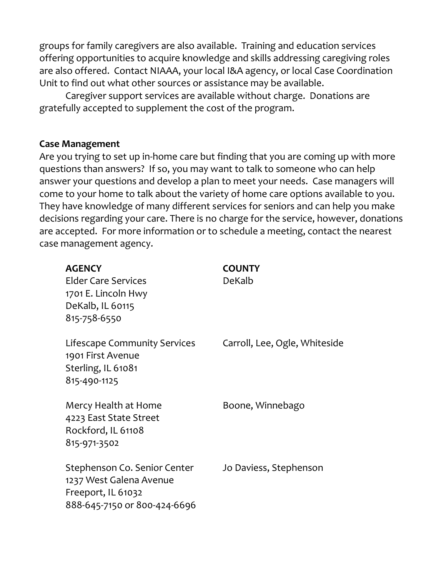groups for family caregivers are also available. Training and education services offering opportunities to acquire knowledge and skills addressing caregiving roles are also offered. Contact NIAAA, your local I&A agency, or local Case Coordination Unit to find out what other sources or assistance may be available.

 Caregiver support services are available without charge. Donations are gratefully accepted to supplement the cost of the program.

#### Case Management

Are you trying to set up in-home care but finding that you are coming up with more questions than answers? If so, you may want to talk to someone who can help answer your questions and develop a plan to meet your needs. Case managers will come to your home to talk about the variety of home care options available to you. They have knowledge of many different services for seniors and can help you make decisions regarding your care. There is no charge for the service, however, donations are accepted. For more information or to schedule a meeting, contact the nearest case management agency.

| <b>AGENCY</b><br><b>Elder Care Services</b><br>1701 E. Lincoln Hwy<br>DeKalb, IL 60115<br>815-758-6550        | <b>COUNTY</b><br>DeKalb       |
|---------------------------------------------------------------------------------------------------------------|-------------------------------|
| Lifescape Community Services<br>1901 First Avenue<br>Sterling, IL 61081<br>815-490-1125                       | Carroll, Lee, Ogle, Whiteside |
| Mercy Health at Home<br>4223 East State Street<br>Rockford, IL 61108<br>815-971-3502                          | Boone, Winnebago              |
| Stephenson Co. Senior Center<br>1237 West Galena Avenue<br>Freeport, IL 61032<br>888-645-7150 or 800-424-6696 | Jo Daviess, Stephenson        |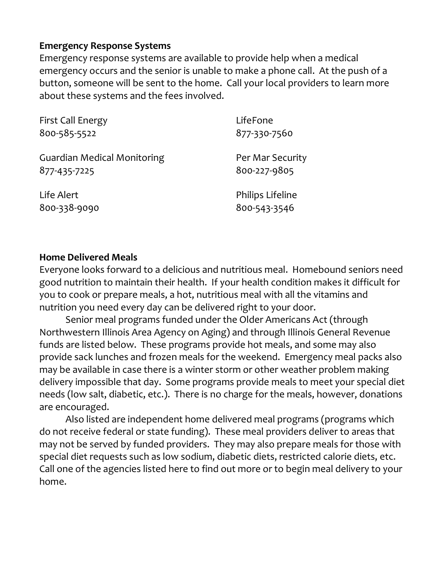#### Emergency Response Systems

Emergency response systems are available to provide help when a medical emergency occurs and the senior is unable to make a phone call. At the push of a button, someone will be sent to the home. Call your local providers to learn more about these systems and the fees involved.

| <b>First Call Energy</b>           | LifeFone         |
|------------------------------------|------------------|
| 800-585-5522                       | 877-330-7560     |
| <b>Guardian Medical Monitoring</b> | Per Mar Security |
| 877-435-7225                       | 800-227-9805     |
| Life Alert                         | Philips Lifeline |
| 800-338-9090                       | 800-543-3546     |

#### Home Delivered Meals

Everyone looks forward to a delicious and nutritious meal. Homebound seniors need good nutrition to maintain their health. If your health condition makes it difficult for you to cook or prepare meals, a hot, nutritious meal with all the vitamins and nutrition you need every day can be delivered right to your door.

 Senior meal programs funded under the Older Americans Act (through Northwestern Illinois Area Agency on Aging) and through Illinois General Revenue funds are listed below. These programs provide hot meals, and some may also provide sack lunches and frozen meals for the weekend. Emergency meal packs also may be available in case there is a winter storm or other weather problem making delivery impossible that day. Some programs provide meals to meet your special diet needs (low salt, diabetic, etc.). There is no charge for the meals, however, donations are encouraged.

 Also listed are independent home delivered meal programs (programs which do not receive federal or state funding). These meal providers deliver to areas that may not be served by funded providers. They may also prepare meals for those with special diet requests such as low sodium, diabetic diets, restricted calorie diets, etc. Call one of the agencies listed here to find out more or to begin meal delivery to your home.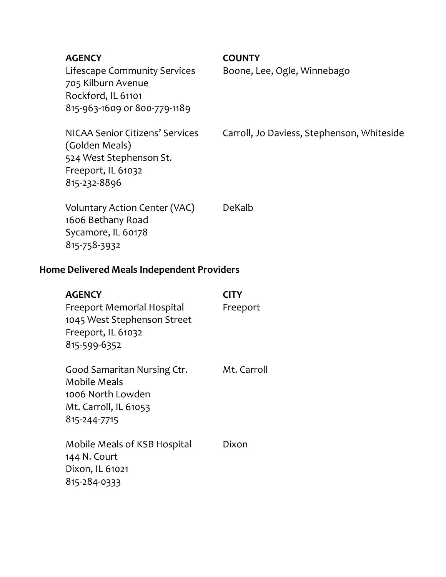Lifescape Community Services Boone, Lee, Ogle, Winnebago 705 Kilburn Avenue Rockford, IL 61101 815-963-1609 or 800-779-1189

AGENCY COUNTY

(Golden Meals) 524 West Stephenson St. Freeport, IL 61032 815-232-8896

NICAA Senior Citizens' Services Carroll, Jo Daviess, Stephenson, Whiteside

Voluntary Action Center (VAC) DeKalb 1606 Bethany Road Sycamore, IL 60178 815-758-3932

#### Home Delivered Meals Independent Providers

| <b>AGENCY</b><br>Freeport Memorial Hospital<br>1045 West Stephenson Street<br>Freeport, IL 61032<br>815-599-6352 | <b>CITY</b><br>Freeport |
|------------------------------------------------------------------------------------------------------------------|-------------------------|
| Good Samaritan Nursing Ctr.<br><b>Mobile Meals</b><br>1006 North Lowden<br>Mt. Carroll, IL 61053<br>815-244-7715 | Mt. Carroll             |
| Mobile Meals of KSB Hospital<br>144 N. Court<br>Dixon, IL 61021<br>815-284-0333                                  | Dixon                   |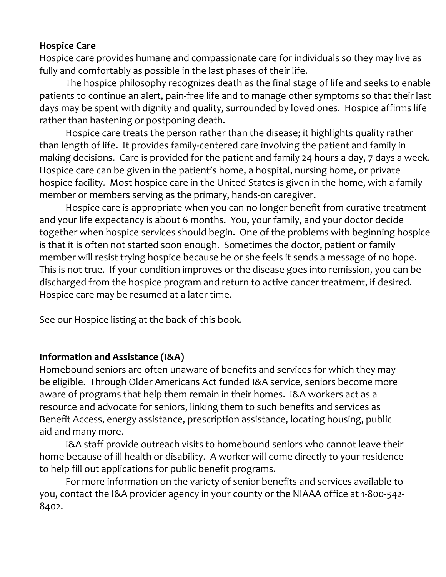#### Hospice Care

Hospice care provides humane and compassionate care for individuals so they may live as fully and comfortably as possible in the last phases of their life.

 The hospice philosophy recognizes death as the final stage of life and seeks to enable patients to continue an alert, pain-free life and to manage other symptoms so that their last days may be spent with dignity and quality, surrounded by loved ones. Hospice affirms life rather than hastening or postponing death.

 Hospice care treats the person rather than the disease; it highlights quality rather than length of life. It provides family-centered care involving the patient and family in making decisions. Care is provided for the patient and family 24 hours a day, 7 days a week. Hospice care can be given in the patient's home, a hospital, nursing home, or private hospice facility. Most hospice care in the United States is given in the home, with a family member or members serving as the primary, hands-on caregiver.

 Hospice care is appropriate when you can no longer benefit from curative treatment and your life expectancy is about 6 months. You, your family, and your doctor decide together when hospice services should begin. One of the problems with beginning hospice is that it is often not started soon enough. Sometimes the doctor, patient or family member will resist trying hospice because he or she feels it sends a message of no hope. This is not true. If your condition improves or the disease goes into remission, you can be discharged from the hospice program and return to active cancer treatment, if desired. Hospice care may be resumed at a later time.

See our Hospice listing at the back of this book.

#### Information and Assistance (I&A)

Homebound seniors are often unaware of benefits and services for which they may be eligible. Through Older Americans Act funded I&A service, seniors become more aware of programs that help them remain in their homes. I&A workers act as a resource and advocate for seniors, linking them to such benefits and services as Benefit Access, energy assistance, prescription assistance, locating housing, public aid and many more.

 I&A staff provide outreach visits to homebound seniors who cannot leave their home because of ill health or disability. A worker will come directly to your residence to help fill out applications for public benefit programs.

 For more information on the variety of senior benefits and services available to you, contact the I&A provider agency in your county or the NIAAA office at 1-800-542- 8402.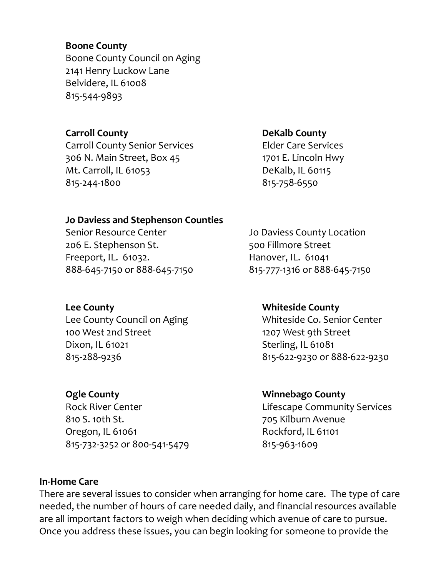#### Boone County

Boone County Council on Aging 2141 Henry Luckow Lane Belvidere, IL 61008 815-544-9893

#### Carroll County

Carroll County Senior Services 306 N. Main Street, Box 45 Mt. Carroll, IL 61053 815-244-1800

#### DeKalb County

Elder Care Services 1701 E. Lincoln Hwy DeKalb, IL 60115 815-758-6550

#### Jo Daviess and Stephenson Counties

Senior Resource Center **Senior Resource Center** Jo Daviess County Location 206 E. Stephenson St. 500 Fillmore Street Freeport, IL. 61032. Hanover, IL. 61041 888-645-7150 or 888-645-7150 815-777-1316 or 888-645-7150

#### Lee County

Lee County Council on Aging 100 West 2nd Street Dixon, IL 61021 815-288-9236

#### Ogle County

Rock River Center 810 S. 10th St. Oregon, IL 61061 815-732-3252 or 800-541-5479

#### Whiteside County

Whiteside Co. Senior Center 1207 West 9th Street Sterling, IL 61081 815-622-9230 or 888-622-9230

#### Winnebago County

Lifescape Community Services 705 Kilburn Avenue Rockford, IL 61101 815-963-1609

#### In-Home Care

There are several issues to consider when arranging for home care. The type of care needed, the number of hours of care needed daily, and financial resources available are all important factors to weigh when deciding which avenue of care to pursue. Once you address these issues, you can begin looking for someone to provide the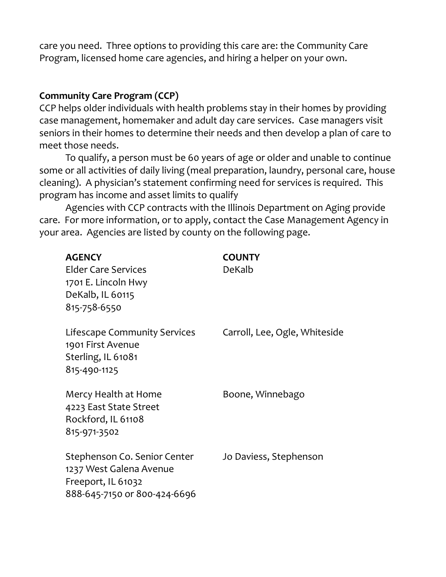care you need. Three options to providing this care are: the Community Care Program, licensed home care agencies, and hiring a helper on your own.

#### Community Care Program (CCP)

CCP helps older individuals with health problems stay in their homes by providing case management, homemaker and adult day care services. Case managers visit seniors in their homes to determine their needs and then develop a plan of care to meet those needs.

 To qualify, a person must be 60 years of age or older and unable to continue some or all activities of daily living (meal preparation, laundry, personal care, house cleaning). A physician's statement confirming need for services is required. This program has income and asset limits to qualify

 Agencies with CCP contracts with the Illinois Department on Aging provide care. For more information, or to apply, contact the Case Management Agency in your area. Agencies are listed by county on the following page.

| <b>AGENCY</b>                                                                                                 | <b>COUNTY</b>                 |
|---------------------------------------------------------------------------------------------------------------|-------------------------------|
| <b>Elder Care Services</b>                                                                                    | DeKalb                        |
| 1701 E. Lincoln Hwy                                                                                           |                               |
| DeKalb, IL 60115                                                                                              |                               |
| 815-758-6550                                                                                                  |                               |
| Lifescape Community Services<br>1901 First Avenue<br>Sterling, IL 61081<br>815-490-1125                       | Carroll, Lee, Ogle, Whiteside |
| Mercy Health at Home<br>4223 East State Street<br>Rockford, IL 61108<br>815-971-3502                          | Boone, Winnebago              |
| Stephenson Co. Senior Center<br>1237 West Galena Avenue<br>Freeport, IL 61032<br>888-645-7150 or 800-424-6696 | Jo Daviess, Stephenson        |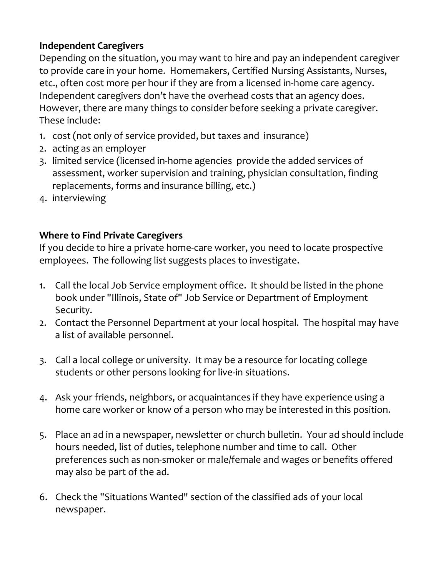#### Independent Caregivers

Depending on the situation, you may want to hire and pay an independent caregiver to provide care in your home. Homemakers, Certified Nursing Assistants, Nurses, etc., often cost more per hour if they are from a licensed in-home care agency. Independent caregivers don't have the overhead costs that an agency does. However, there are many things to consider before seeking a private caregiver. These include:

- 1. cost (not only of service provided, but taxes and insurance)
- 2. acting as an employer
- 3. limited service (licensed in-home agencies provide the added services of assessment, worker supervision and training, physician consultation, finding replacements, forms and insurance billing, etc.)
- 4. interviewing

#### Where to Find Private Caregivers

If you decide to hire a private home-care worker, you need to locate prospective employees. The following list suggests places to investigate.

- 1. Call the local Job Service employment office. It should be listed in the phone book under "Illinois, State of" Job Service or Department of Employment Security.
- 2. Contact the Personnel Department at your local hospital. The hospital may have a list of available personnel.
- 3. Call a local college or university. It may be a resource for locating college students or other persons looking for live-in situations.
- 4. Ask your friends, neighbors, or acquaintances if they have experience using a home care worker or know of a person who may be interested in this position.
- 5. Place an ad in a newspaper, newsletter or church bulletin. Your ad should include hours needed, list of duties, telephone number and time to call. Other preferences such as non-smoker or male/female and wages or benefits offered may also be part of the ad.
- 6. Check the "Situations Wanted" section of the classified ads of your local newspaper.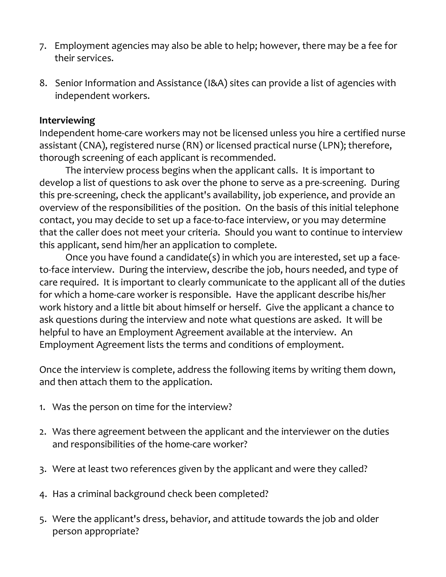- 7. Employment agencies may also be able to help; however, there may be a fee for their services.
- 8. Senior Information and Assistance (I&A) sites can provide a list of agencies with independent workers.

#### Interviewing

Independent home-care workers may not be licensed unless you hire a certified nurse assistant (CNA), registered nurse (RN) or licensed practical nurse (LPN); therefore, thorough screening of each applicant is recommended.

The interview process begins when the applicant calls. It is important to develop a list of questions to ask over the phone to serve as a pre-screening. During this pre-screening, check the applicant's availability, job experience, and provide an overview of the responsibilities of the position. On the basis of this initial telephone contact, you may decide to set up a face-to-face interview, or you may determine that the caller does not meet your criteria. Should you want to continue to interview this applicant, send him/her an application to complete.

 Once you have found a candidate(s) in which you are interested, set up a faceto-face interview. During the interview, describe the job, hours needed, and type of care required. It is important to clearly communicate to the applicant all of the duties for which a home-care worker is responsible. Have the applicant describe his/her work history and a little bit about himself or herself. Give the applicant a chance to ask questions during the interview and note what questions are asked. It will be helpful to have an Employment Agreement available at the interview. An Employment Agreement lists the terms and conditions of employment.

Once the interview is complete, address the following items by writing them down, and then attach them to the application.

- 1. Was the person on time for the interview?
- 2. Was there agreement between the applicant and the interviewer on the duties and responsibilities of the home-care worker?
- 3. Were at least two references given by the applicant and were they called?
- 4. Has a criminal background check been completed?
- 5. Were the applicant's dress, behavior, and attitude towards the job and older person appropriate?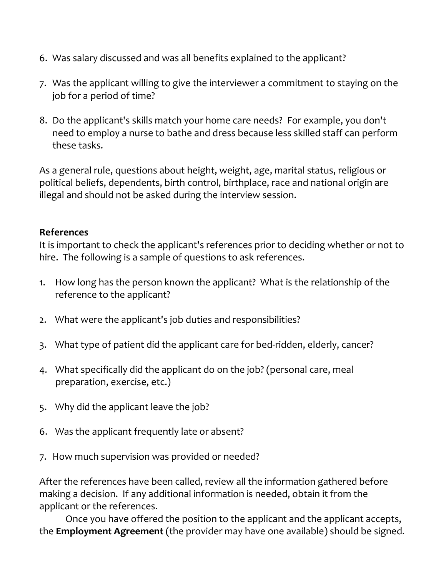- 6. Was salary discussed and was all benefits explained to the applicant?
- 7. Was the applicant willing to give the interviewer a commitment to staying on the job for a period of time?
- 8. Do the applicant's skills match your home care needs? For example, you don't need to employ a nurse to bathe and dress because less skilled staff can perform these tasks.

As a general rule, questions about height, weight, age, marital status, religious or political beliefs, dependents, birth control, birthplace, race and national origin are illegal and should not be asked during the interview session.

#### References

It is important to check the applicant's references prior to deciding whether or not to hire. The following is a sample of questions to ask references.

- 1. How long has the person known the applicant? What is the relationship of the reference to the applicant?
- 2. What were the applicant's job duties and responsibilities?
- 3. What type of patient did the applicant care for bed-ridden, elderly, cancer?
- 4. What specifically did the applicant do on the job? (personal care, meal preparation, exercise, etc.)
- 5. Why did the applicant leave the job?
- 6. Was the applicant frequently late or absent?
- 7. How much supervision was provided or needed?

After the references have been called, review all the information gathered before making a decision. If any additional information is needed, obtain it from the applicant or the references.

 Once you have offered the position to the applicant and the applicant accepts, the **Employment Agreement** (the provider may have one available) should be signed.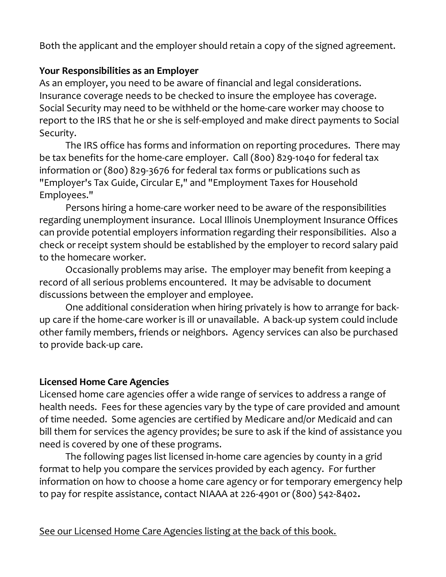Both the applicant and the employer should retain a copy of the signed agreement.

#### Your Responsibilities as an Employer

As an employer, you need to be aware of financial and legal considerations. Insurance coverage needs to be checked to insure the employee has coverage. Social Security may need to be withheld or the home-care worker may choose to report to the IRS that he or she is self-employed and make direct payments to Social Security.

 The IRS office has forms and information on reporting procedures. There may be tax benefits for the home-care employer. Call (800) 829-1040 for federal tax information or (800) 829-3676 for federal tax forms or publications such as "Employer's Tax Guide, Circular E," and "Employment Taxes for Household Employees."

Persons hiring a home-care worker need to be aware of the responsibilities regarding unemployment insurance. Local Illinois Unemployment Insurance Offices can provide potential employers information regarding their responsibilities. Also a check or receipt system should be established by the employer to record salary paid to the homecare worker.

 Occasionally problems may arise. The employer may benefit from keeping a record of all serious problems encountered. It may be advisable to document discussions between the employer and employee.

 One additional consideration when hiring privately is how to arrange for backup care if the home-care worker is ill or unavailable. A back-up system could include other family members, friends or neighbors. Agency services can also be purchased to provide back-up care.

#### Licensed Home Care Agencies

Licensed home care agencies offer a wide range of services to address a range of health needs. Fees for these agencies vary by the type of care provided and amount of time needed. Some agencies are certified by Medicare and/or Medicaid and can bill them for services the agency provides; be sure to ask if the kind of assistance you need is covered by one of these programs.

 The following pages list licensed in-home care agencies by county in a grid format to help you compare the services provided by each agency. For further information on how to choose a home care agency or for temporary emergency help to pay for respite assistance, contact NIAAA at 226-4901 or (800) 542-8402.

See our Licensed Home Care Agencies listing at the back of this book.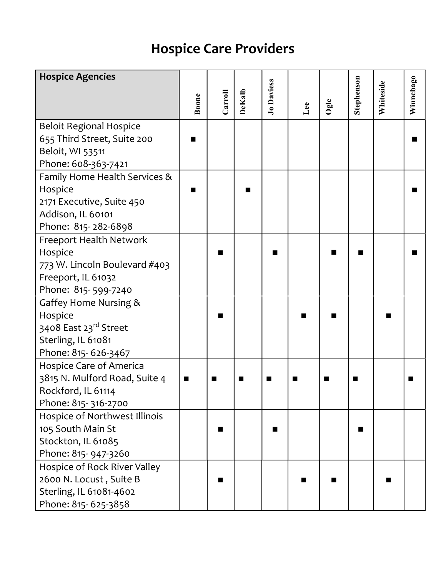## Hospice Care Providers

| <b>Hospice Agencies</b>        |                |         |        |                   |     |                |                |           |                |  |
|--------------------------------|----------------|---------|--------|-------------------|-----|----------------|----------------|-----------|----------------|--|
|                                | Boone          | Carroll | DeKalb | <b>Jo Daviess</b> |     | $O$ gle        | Stephenson     | Whiteside | Winnebago      |  |
|                                |                |         |        |                   | Lee |                |                |           |                |  |
| <b>Beloit Regional Hospice</b> |                |         |        |                   |     |                |                |           |                |  |
| 655 Third Street, Suite 200    |                |         |        |                   |     |                |                |           | ■              |  |
| Beloit, WI 53511               |                |         |        |                   |     |                |                |           |                |  |
| Phone: 608-363-7421            |                |         |        |                   |     |                |                |           |                |  |
| Family Home Health Services &  |                |         |        |                   |     |                |                |           |                |  |
| Hospice                        |                |         |        |                   |     |                |                |           | $\blacksquare$ |  |
| 2171 Executive, Suite 450      |                |         |        |                   |     |                |                |           |                |  |
| Addison, IL 60101              |                |         |        |                   |     |                |                |           |                |  |
| Phone: 815-282-6898            |                |         |        |                   |     |                |                |           |                |  |
| Freeport Health Network        |                |         |        |                   |     |                |                |           |                |  |
| Hospice                        |                |         |        |                   |     |                |                |           | ш              |  |
| 773 W. Lincoln Boulevard #403  |                |         |        |                   |     |                |                |           |                |  |
| Freeport, IL 61032             |                |         |        |                   |     |                |                |           |                |  |
| Phone: 815-599-7240            |                |         |        |                   |     |                |                |           |                |  |
| Gaffey Home Nursing &          |                |         |        |                   |     |                |                |           |                |  |
| Hospice                        |                |         |        |                   |     |                |                |           |                |  |
| 3408 East 23rd Street          |                |         |        |                   |     |                |                |           |                |  |
| Sterling, IL 61081             |                |         |        |                   |     |                |                |           |                |  |
| Phone: 815-626-3467            |                |         |        |                   |     |                |                |           |                |  |
| Hospice Care of America        |                |         |        |                   |     |                |                |           |                |  |
| 3815 N. Mulford Road, Suite 4  | $\blacksquare$ | ■       | ■      | ш                 |     | $\blacksquare$ | $\blacksquare$ |           | ■              |  |
| Rockford, IL 61114             |                |         |        |                   |     |                |                |           |                |  |
| Phone: 815-316-2700            |                |         |        |                   |     |                |                |           |                |  |
| Hospice of Northwest Illinois  |                |         |        |                   |     |                |                |           |                |  |
| 105 South Main St              |                | ш       |        | П                 |     |                | ■              |           |                |  |
| Stockton, IL 61085             |                |         |        |                   |     |                |                |           |                |  |
| Phone: 815- 947-3260           |                |         |        |                   |     |                |                |           |                |  |
| Hospice of Rock River Valley   |                |         |        |                   |     |                |                |           |                |  |
| 2600 N. Locust, Suite B        |                |         |        |                   |     |                |                |           |                |  |
| Sterling, IL 61081-4602        |                |         |        |                   |     |                |                |           |                |  |
| Phone: 815-625-3858            |                |         |        |                   |     |                |                |           |                |  |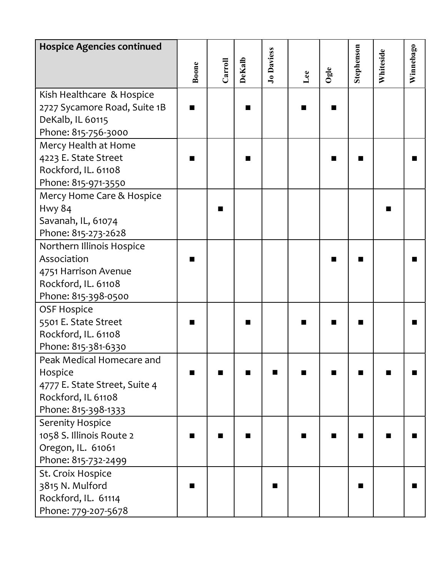| <b>Hospice Agencies continued</b> |       |         |                |                   |     |              |            |           |           |  |
|-----------------------------------|-------|---------|----------------|-------------------|-----|--------------|------------|-----------|-----------|--|
|                                   | Boone | Carroll | DeKalb         | <b>Jo Daviess</b> |     |              | Stephenson | Whiteside | Winnebago |  |
|                                   |       |         |                |                   | Lee | $_{\rm Oge}$ |            |           |           |  |
| Kish Healthcare & Hospice         |       |         |                |                   |     |              |            |           |           |  |
| 2727 Sycamore Road, Suite 1B      |       |         | $\blacksquare$ |                   |     |              |            |           |           |  |
| DeKalb, IL 60115                  |       |         |                |                   |     |              |            |           |           |  |
| Phone: 815-756-3000               |       |         |                |                   |     |              |            |           |           |  |
| Mercy Health at Home              |       |         |                |                   |     |              |            |           |           |  |
| 4223 E. State Street              |       |         | $\blacksquare$ |                   |     |              |            |           | ■         |  |
| Rockford, IL. 61108               |       |         |                |                   |     |              |            |           |           |  |
| Phone: 815-971-3550               |       |         |                |                   |     |              |            |           |           |  |
| Mercy Home Care & Hospice         |       |         |                |                   |     |              |            |           |           |  |
| <b>Hwy 84</b>                     |       |         |                |                   |     |              |            |           |           |  |
| Savanah, IL, 61074                |       |         |                |                   |     |              |            |           |           |  |
| Phone: 815-273-2628               |       |         |                |                   |     |              |            |           |           |  |
| Northern Illinois Hospice         |       |         |                |                   |     |              |            |           |           |  |
| Association                       |       |         |                |                   |     |              |            |           | ■         |  |
| 4751 Harrison Avenue              |       |         |                |                   |     |              |            |           |           |  |
| Rockford, IL. 61108               |       |         |                |                   |     |              |            |           |           |  |
| Phone: 815-398-0500               |       |         |                |                   |     |              |            |           |           |  |
| <b>OSF Hospice</b>                |       |         |                |                   |     |              |            |           |           |  |
| 5501 E. State Street              |       |         |                |                   |     |              |            |           | ■         |  |
| Rockford, IL. 61108               |       |         |                |                   |     |              |            |           |           |  |
| Phone: 815-381-6330               |       |         |                |                   |     |              |            |           |           |  |
| Peak Medical Homecare and         |       |         |                |                   |     |              |            |           |           |  |
| Hospice                           |       |         |                |                   |     |              |            |           |           |  |
| 4777 E. State Street, Suite 4     |       |         |                |                   |     |              |            |           |           |  |
| Rockford, IL 61108                |       |         |                |                   |     |              |            |           |           |  |
| Phone: 815-398-1333               |       |         |                |                   |     |              |            |           |           |  |
| Serenity Hospice                  |       |         |                |                   |     |              |            |           |           |  |
| 1058 S. Illinois Route 2          |       |         |                |                   |     |              |            |           |           |  |
| Oregon, IL. 61061                 |       |         |                |                   |     |              |            |           |           |  |
| Phone: 815-732-2499               |       |         |                |                   |     |              |            |           |           |  |
| St. Croix Hospice                 |       |         |                |                   |     |              |            |           |           |  |
| 3815 N. Mulford                   |       |         |                | ■                 |     |              | ■          |           |           |  |
| Rockford, IL. 61114               |       |         |                |                   |     |              |            |           |           |  |
| Phone: 779-207-5678               |       |         |                |                   |     |              |            |           |           |  |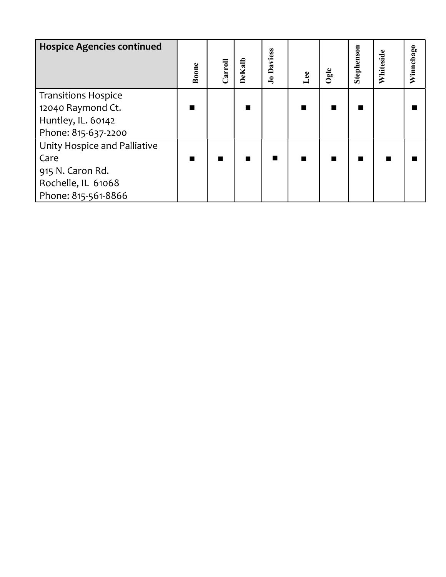| <b>Hospice Agencies continued</b> | Boone          | Carroll | DeKalb         | Jo Daviess     | Lee            | Ogle           | Stephenson | Whiteside | Winnebago |  |
|-----------------------------------|----------------|---------|----------------|----------------|----------------|----------------|------------|-----------|-----------|--|
| <b>Transitions Hospice</b>        |                |         |                |                |                |                |            |           |           |  |
| 12040 Raymond Ct.                 | $\blacksquare$ |         | $\blacksquare$ |                | $\blacksquare$ | $\blacksquare$ |            |           | п         |  |
| Huntley, IL. 60142                |                |         |                |                |                |                |            |           |           |  |
| Phone: 815-637-2200               |                |         |                |                |                |                |            |           |           |  |
| Unity Hospice and Palliative      |                |         |                |                |                |                |            |           |           |  |
| Care                              | $\blacksquare$ |         | ш              | $\blacksquare$ | $\blacksquare$ | $\blacksquare$ | ■          | ш         | п         |  |
| 915 N. Caron Rd.                  |                |         |                |                |                |                |            |           |           |  |
| Rochelle, IL 61068                |                |         |                |                |                |                |            |           |           |  |
| Phone: 815-561-8866               |                |         |                |                |                |                |            |           |           |  |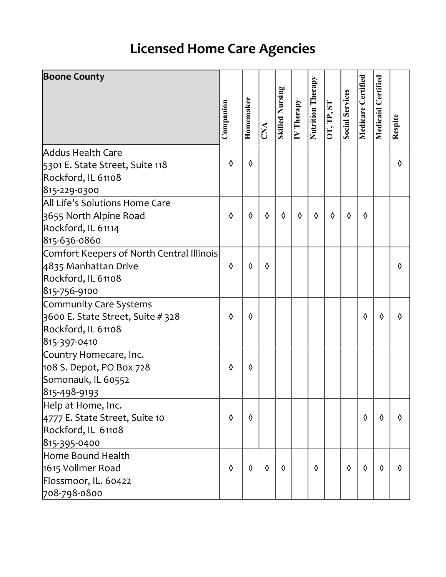## Licensed Home Care Agencies

| <b>Boone County</b>                                                                               |            |            |            |                        |                         |                   |            |                        |                    |           |            |
|---------------------------------------------------------------------------------------------------|------------|------------|------------|------------------------|-------------------------|-------------------|------------|------------------------|--------------------|-----------|------------|
|                                                                                                   | Companion  | Homemaker  |            | <b>Skilled Nursing</b> | $\overline{IV}$ Therapy | Nutrition Therapy | OT, TP, ST | <b>Social Services</b> | Medicare Certified | Certified |            |
|                                                                                                   |            |            | CNA        |                        |                         |                   |            |                        |                    | Medicaid  | Respite    |
| Addus Health Care<br>5301 E. State Street, Suite 118                                              | $\Diamond$ | $\Diamond$ |            |                        |                         |                   |            |                        |                    |           | ♦          |
| Rockford, IL 61108                                                                                |            |            |            |                        |                         |                   |            |                        |                    |           |            |
| 815-229-0300                                                                                      |            |            |            |                        |                         |                   |            |                        |                    |           |            |
| All Life's Solutions Home Care<br>3655 North Alpine Road<br>Rockford, IL 61114<br>815-636-0860    | ♦          | ♦          | $\Diamond$ | ♦                      | $\Diamond$              | $\Diamond$        | $\Diamond$ | ♦                      | ♦                  |           |            |
| Comfort Keepers of North Central Illinois<br>4835 Manhattan Drive<br>Rockford, IL 61108           | ♦          | ♦          | ♦          |                        |                         |                   |            |                        |                    |           | ♦          |
| 815-756-9100                                                                                      |            |            |            |                        |                         |                   |            |                        |                    |           |            |
| Community Care Systems<br>3600 E. State Street, Suite # 328<br>Rockford, IL 61108<br>815-397-0410 | $\Diamond$ | ♦          |            |                        |                         |                   |            |                        | ♦                  | ♦         | ♦          |
| Country Homecare, Inc.                                                                            |            |            |            |                        |                         |                   |            |                        |                    |           |            |
| 108 S. Depot, PO Box 728<br>Somonauk, IL 60552<br>815-498-9193                                    | ♦          | ♦          |            |                        |                         |                   |            |                        |                    |           |            |
| Help at Home, Inc.<br>4777 E. State Street, Suite 10<br>Rockford, IL 61108                        | $\Diamond$ | ♦          |            |                        |                         |                   |            |                        | $\Diamond$         | ♦         | $\Diamond$ |
| 815-395-0400                                                                                      |            |            |            |                        |                         |                   |            |                        |                    |           |            |
| Home Bound Health<br>1615 Vollmer Road<br>Flossmoor, IL. 60422                                    | ♦          | ♦          | $\Diamond$ | ♦                      |                         | ♦                 |            | $\Diamond$             | $\Diamond$         | ♦         | ♦          |
| 708-798-0800                                                                                      |            |            |            |                        |                         |                   |            |                        |                    |           |            |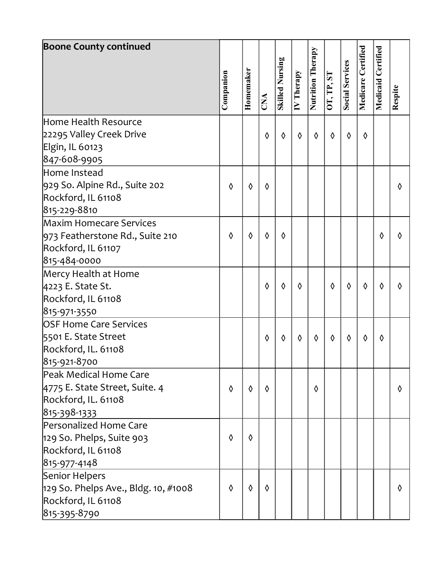| <b>Boone County continued</b>        |            |           |            |                        |                         |                   |            |                        |                    |           |         |  |
|--------------------------------------|------------|-----------|------------|------------------------|-------------------------|-------------------|------------|------------------------|--------------------|-----------|---------|--|
|                                      |            |           |            |                        |                         | Nutrition Therapy |            |                        | Medicare Certified | Certified |         |  |
|                                      |            |           |            | <b>Skilled Nursing</b> |                         |                   |            | <b>Social Services</b> |                    |           |         |  |
|                                      | Companion  | Homemaker |            |                        | $\overline{IV}$ Therapy |                   | OT, TP, ST |                        |                    | Medicaid  |         |  |
|                                      |            |           | CNA        |                        |                         |                   |            |                        |                    |           | Respite |  |
|                                      |            |           |            |                        |                         |                   |            |                        |                    |           |         |  |
| Home Health Resource                 |            |           |            |                        |                         |                   |            |                        |                    |           |         |  |
| 22295 Valley Creek Drive             |            |           | ♦          | ♦                      | $\Diamond$              | ♦                 | $\Diamond$ | $\Diamond$             | $\Diamond$         |           |         |  |
| Elgin, IL 60123                      |            |           |            |                        |                         |                   |            |                        |                    |           |         |  |
| 847-608-9905                         |            |           |            |                        |                         |                   |            |                        |                    |           |         |  |
| Home Instead                         |            |           |            |                        |                         |                   |            |                        |                    |           |         |  |
| 929 So. Alpine Rd., Suite 202        | ♦          | ♦         | ♦          |                        |                         |                   |            |                        |                    |           | ♦       |  |
| Rockford, IL 61108                   |            |           |            |                        |                         |                   |            |                        |                    |           |         |  |
| 815-229-8810                         |            |           |            |                        |                         |                   |            |                        |                    |           |         |  |
| Maxim Homecare Services              |            |           |            |                        |                         |                   |            |                        |                    |           |         |  |
| 973 Featherstone Rd., Suite 210      | $\Diamond$ | ♦         | $\Diamond$ | ♦                      |                         |                   |            |                        |                    | ♦         | ♦       |  |
| Rockford, IL 61107                   |            |           |            |                        |                         |                   |            |                        |                    |           |         |  |
| 815-484-0000                         |            |           |            |                        |                         |                   |            |                        |                    |           |         |  |
| Mercy Health at Home                 |            |           |            |                        |                         |                   |            |                        |                    |           |         |  |
| 4223 E. State St.                    |            |           | ♦          | ♦                      | $\Diamond$              |                   | $\Diamond$ | $\Diamond$             | $\Diamond$         | ♦         | ♦       |  |
| Rockford, IL 61108                   |            |           |            |                        |                         |                   |            |                        |                    |           |         |  |
| 815-971-3550                         |            |           |            |                        |                         |                   |            |                        |                    |           |         |  |
| OSF Home Care Services               |            |           |            |                        |                         |                   |            |                        |                    |           |         |  |
| 5501 E. State Street                 |            |           | ♦          | ♦                      | $\Diamond$              | $\Diamond$        | $\Diamond$ | ♦                      | $\Diamond$         | ♦         |         |  |
| Rockford, IL. 61108                  |            |           |            |                        |                         |                   |            |                        |                    |           |         |  |
| 815-921-8700                         |            |           |            |                        |                         |                   |            |                        |                    |           |         |  |
| Peak Medical Home Care               |            |           |            |                        |                         |                   |            |                        |                    |           |         |  |
| 4775 E. State Street, Suite. 4       | ♦          | ♦         | $\Diamond$ |                        |                         | ♦                 |            |                        |                    |           | ♦       |  |
| Rockford, IL. 61108                  |            |           |            |                        |                         |                   |            |                        |                    |           |         |  |
| 815-398-1333                         |            |           |            |                        |                         |                   |            |                        |                    |           |         |  |
| Personalized Home Care               |            |           |            |                        |                         |                   |            |                        |                    |           |         |  |
| 129 So. Phelps, Suite 903            | ♦          | ♦         |            |                        |                         |                   |            |                        |                    |           |         |  |
| Rockford, IL 61108                   |            |           |            |                        |                         |                   |            |                        |                    |           |         |  |
| 815-977-4148                         |            |           |            |                        |                         |                   |            |                        |                    |           |         |  |
| Senior Helpers                       |            |           |            |                        |                         |                   |            |                        |                    |           |         |  |
| 129 So. Phelps Ave., Bldg. 10, #1008 | $\Diamond$ | ♦         | $\Diamond$ |                        |                         |                   |            |                        |                    |           | ♦       |  |
| Rockford, IL 61108                   |            |           |            |                        |                         |                   |            |                        |                    |           |         |  |
| 815-395-8790                         |            |           |            |                        |                         |                   |            |                        |                    |           |         |  |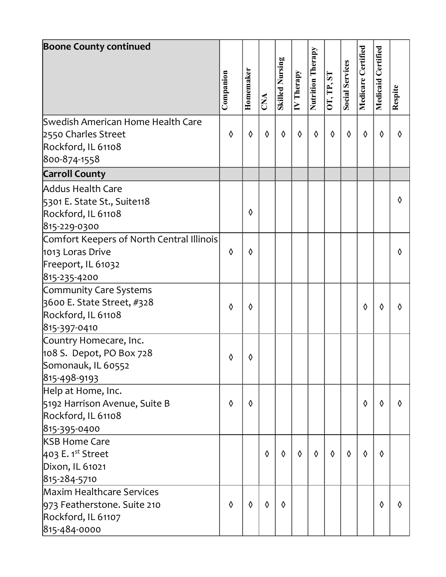| <b>Boone County continued</b>                                                                       | Companion  | Homemaker |                         | <b>Skilled Nursing</b> | $\overline{IV}$ Therapy | Nutrition Therapy | OT, TP, ST | <b>Social Services</b> | Medicare Certified | Certified<br>Medicaid | Respite |  |
|-----------------------------------------------------------------------------------------------------|------------|-----------|-------------------------|------------------------|-------------------------|-------------------|------------|------------------------|--------------------|-----------------------|---------|--|
|                                                                                                     |            |           | $\overline{\text{CNA}}$ |                        |                         |                   |            |                        |                    |                       |         |  |
| Swedish American Home Health Care<br>2550 Charles Street<br>Rockford, IL 61108<br>800-874-1558      | $\Diamond$ | ♦         | $\Diamond$              | ♦                      | $\Diamond$              | ♦                 | $\Diamond$ | ♦                      | $\Diamond$         | ♦                     | ♦       |  |
| <b>Carroll County</b>                                                                               |            |           |                         |                        |                         |                   |            |                        |                    |                       |         |  |
| Addus Health Care<br>5301 E. State St., Suite118<br>Rockford, IL 61108<br>815-229-0300              |            | ♦         |                         |                        |                         |                   |            |                        |                    |                       | ♦       |  |
| Comfort Keepers of North Central Illinois<br>1013 Loras Drive<br>Freeport, IL 61032<br>815-235-4200 | ♦          | ♦         |                         |                        |                         |                   |            |                        |                    |                       | ♦       |  |
| Community Care Systems<br>3600 E. State Street, #328<br>Rockford, IL 61108<br>815-397-0410          | ♦          | ♦         |                         |                        |                         |                   |            |                        | ♦                  | ◊                     | ♦       |  |
| Country Homecare, Inc.<br>$108$ S. Depot, PO Box 728<br>Somonauk, IL 60552<br>815-498-9193          | ♦          | ♦         |                         |                        |                         |                   |            |                        |                    |                       |         |  |
| Help at Home, Inc.<br>5192 Harrison Avenue, Suite B<br>Rockford, IL 61108<br>815-395-0400           | ♦          | ♦         |                         |                        |                         |                   |            |                        | $\Diamond$         | ♦                     | ♦       |  |
| <b>KSB Home Care</b><br>$403$ E. 1 <sup>st</sup> Street<br>Dixon, IL 61021<br>815-284-5710          |            |           | $\Diamond$              | $\Diamond$             | $\Diamond$              | $\Diamond$        | $\Diamond$ | $\Diamond$             | $\Diamond$         | $\Diamond$            |         |  |
| Maxim Healthcare Services<br>973 Featherstone. Suite 210<br>Rockford, IL 61107<br>815-484-0000      | ♦          | ♦         | $\Diamond$              | $\Diamond$             |                         |                   |            |                        |                    | $\Diamond$            | ♦       |  |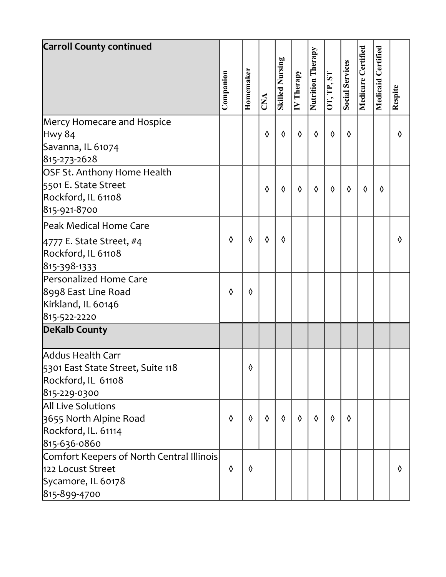| <b>Carroll County continued</b>           |            |           |            |                        |                         |                   |            |                 |                    |           |         |  |
|-------------------------------------------|------------|-----------|------------|------------------------|-------------------------|-------------------|------------|-----------------|--------------------|-----------|---------|--|
|                                           |            |           |            | <b>Skilled Nursing</b> |                         | Nutrition Therapy |            |                 | Medicare Certified | Certified |         |  |
|                                           | Companion  | Homemaker | CNA        |                        | $\overline{IV}$ Therapy |                   | OT, TP, ST | Social Services |                    | Medicaid  | Respite |  |
| Mercy Homecare and Hospice                |            |           |            |                        |                         |                   |            |                 |                    |           |         |  |
| <b>Hwy 84</b>                             |            |           | ♦          | ♦                      | $\Diamond$              | $\Diamond$        | $\Diamond$ | ♦               |                    |           | ♦       |  |
| Savanna, IL 61074                         |            |           |            |                        |                         |                   |            |                 |                    |           |         |  |
| 815-273-2628                              |            |           |            |                        |                         |                   |            |                 |                    |           |         |  |
| OSF St. Anthony Home Health               |            |           |            |                        |                         |                   |            |                 |                    |           |         |  |
| 5501 E. State Street                      |            |           | ♦          | ♦                      | $\Diamond$              | ♦                 | $\Diamond$ | ♦               | $\Diamond$         | ♦         |         |  |
| Rockford, IL 61108                        |            |           |            |                        |                         |                   |            |                 |                    |           |         |  |
| 815-921-8700                              |            |           |            |                        |                         |                   |            |                 |                    |           |         |  |
| Peak Medical Home Care                    |            |           |            |                        |                         |                   |            |                 |                    |           |         |  |
| $4777$ E. State Street, #4                | ♦          | ♦         | $\Diamond$ | ♦                      |                         |                   |            |                 |                    |           | ♦       |  |
| Rockford, IL 61108                        |            |           |            |                        |                         |                   |            |                 |                    |           |         |  |
| 815-398-1333                              |            |           |            |                        |                         |                   |            |                 |                    |           |         |  |
| Personalized Home Care                    |            |           |            |                        |                         |                   |            |                 |                    |           |         |  |
| 8998 East Line Road                       | ♦          | ♦         |            |                        |                         |                   |            |                 |                    |           |         |  |
| Kirkland, IL 60146                        |            |           |            |                        |                         |                   |            |                 |                    |           |         |  |
| 815-522-2220                              |            |           |            |                        |                         |                   |            |                 |                    |           |         |  |
| <b>DeKalb County</b>                      |            |           |            |                        |                         |                   |            |                 |                    |           |         |  |
|                                           |            |           |            |                        |                         |                   |            |                 |                    |           |         |  |
| Addus Health Carr                         |            |           |            |                        |                         |                   |            |                 |                    |           |         |  |
| 5301 East State Street, Suite 118         |            | ♦         |            |                        |                         |                   |            |                 |                    |           |         |  |
| Rockford, IL 61108                        |            |           |            |                        |                         |                   |            |                 |                    |           |         |  |
| 815-229-0300                              |            |           |            |                        |                         |                   |            |                 |                    |           |         |  |
| <b>All Live Solutions</b>                 |            |           |            |                        |                         |                   |            |                 |                    |           |         |  |
| 3655 North Alpine Road                    | ♦          | ♦         | $\Diamond$ | ♦                      | ♦                       | $\Diamond$        | $\Diamond$ | ♦               |                    |           |         |  |
| Rockford, IL. 61114                       |            |           |            |                        |                         |                   |            |                 |                    |           |         |  |
| 815-636-0860                              |            |           |            |                        |                         |                   |            |                 |                    |           |         |  |
| Comfort Keepers of North Central Illinois |            |           |            |                        |                         |                   |            |                 |                    |           |         |  |
| 122 Locust Street                         | $\Diamond$ | ♦         |            |                        |                         |                   |            |                 |                    |           | ♦       |  |
| Sycamore, IL 60178                        |            |           |            |                        |                         |                   |            |                 |                    |           |         |  |
| 815-899-4700                              |            |           |            |                        |                         |                   |            |                 |                    |           |         |  |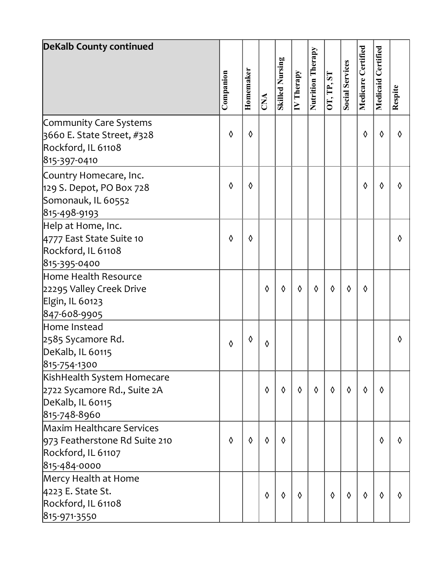| <b>DeKalb County continued</b> |            |            |            |                        |                         |                          |            |                        |                    |            |            |  |
|--------------------------------|------------|------------|------------|------------------------|-------------------------|--------------------------|------------|------------------------|--------------------|------------|------------|--|
|                                |            |            |            | <b>Skilled Nursing</b> |                         | <b>Nutrition Therapy</b> |            | <b>Social Services</b> | Medicare Certified | Certified  |            |  |
|                                | Companion  | Homemaker  | CNA        |                        | $\overline{IV}$ Therapy |                          | OT, TP, ST |                        |                    | Medicaid   | Respite    |  |
| Community Care Systems         |            |            |            |                        |                         |                          |            |                        |                    |            |            |  |
| 3660 E. State Street, #328     | ♦          | $\Diamond$ |            |                        |                         |                          |            |                        | $\Diamond$         | $\Diamond$ | ♦          |  |
| Rockford, IL 61108             |            |            |            |                        |                         |                          |            |                        |                    |            |            |  |
| 815-397-0410                   |            |            |            |                        |                         |                          |            |                        |                    |            |            |  |
| Country Homecare, Inc.         |            |            |            |                        |                         |                          |            |                        |                    |            |            |  |
| 129 S. Depot, PO Box 728       | ♦          | $\Diamond$ |            |                        |                         |                          |            |                        | $\Diamond$         | $\Diamond$ | ♦          |  |
| Somonauk, IL 60552             |            |            |            |                        |                         |                          |            |                        |                    |            |            |  |
| 815-498-9193                   |            |            |            |                        |                         |                          |            |                        |                    |            |            |  |
| Help at Home, Inc.             |            |            |            |                        |                         |                          |            |                        |                    |            |            |  |
| 4777 East State Suite 10       | ♦          | ♦          |            |                        |                         |                          |            |                        |                    |            | ♦          |  |
| Rockford, IL 61108             |            |            |            |                        |                         |                          |            |                        |                    |            |            |  |
| 815-395-0400                   |            |            |            |                        |                         |                          |            |                        |                    |            |            |  |
| Home Health Resource           |            |            |            |                        |                         |                          |            |                        |                    |            |            |  |
| 22295 Valley Creek Drive       |            |            | ♦          | ♦                      | ♦                       | ♦                        | $\Diamond$ | ♦                      | $\Diamond$         |            |            |  |
| Elgin, IL 60123                |            |            |            |                        |                         |                          |            |                        |                    |            |            |  |
| 847-608-9905                   |            |            |            |                        |                         |                          |            |                        |                    |            |            |  |
| Home Instead                   |            |            |            |                        |                         |                          |            |                        |                    |            |            |  |
| 2585 Sycamore Rd.              | ♦          | ♦          | ♦          |                        |                         |                          |            |                        |                    |            | ♦          |  |
| DeKalb, IL 60115               |            |            |            |                        |                         |                          |            |                        |                    |            |            |  |
| 815-754-1300                   |            |            |            |                        |                         |                          |            |                        |                    |            |            |  |
| KishHealth System Homecare     |            |            |            |                        |                         |                          |            |                        |                    |            |            |  |
| 2722 Sycamore Rd., Suite 2A    |            |            | ♦          | $\Diamond$             | $\Diamond$              | $\Diamond$               | $\Diamond$ | $\Diamond$             | $\Diamond$         | ♦          |            |  |
| DeKalb, IL 60115               |            |            |            |                        |                         |                          |            |                        |                    |            |            |  |
| 815-748-8960                   |            |            |            |                        |                         |                          |            |                        |                    |            |            |  |
| Maxim Healthcare Services      |            |            |            |                        |                         |                          |            |                        |                    |            |            |  |
| 973 Featherstone Rd Suite 210  | $\Diamond$ | $\Diamond$ | $\Diamond$ | ♦                      |                         |                          |            |                        |                    | ♦          | $\Diamond$ |  |
| Rockford, IL 61107             |            |            |            |                        |                         |                          |            |                        |                    |            |            |  |
| 815-484-0000                   |            |            |            |                        |                         |                          |            |                        |                    |            |            |  |
| Mercy Health at Home           |            |            |            |                        |                         |                          |            |                        |                    |            |            |  |
| 4223 E. State St.              |            |            | $\Diamond$ | $\Diamond$             | $\Diamond$              |                          | $\Diamond$ | $\Diamond$             | $\Diamond$         | ♦          | ♦          |  |
| Rockford, IL 61108             |            |            |            |                        |                         |                          |            |                        |                    |            |            |  |
| 815-971-3550                   |            |            |            |                        |                         |                          |            |                        |                    |            |            |  |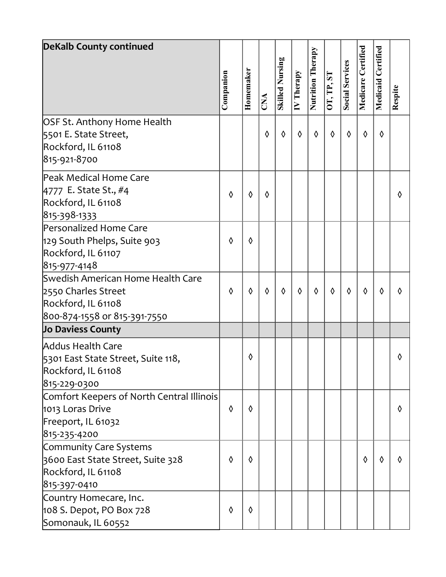| <b>DeKalb County continued</b>                                                                                 |            |           |                         |                        |                         |                          |            |                        |                    |                       |         |  |
|----------------------------------------------------------------------------------------------------------------|------------|-----------|-------------------------|------------------------|-------------------------|--------------------------|------------|------------------------|--------------------|-----------------------|---------|--|
|                                                                                                                | Companion  | Homemaker | $\overline{\text{CNA}}$ | <b>Skilled Nursing</b> | $\overline{IV}$ Therapy | <b>Nutrition Therapy</b> | OT, TP, ST | <b>Social Services</b> | Medicare Certified | Certified<br>Medicaid | Respite |  |
| OSF St. Anthony Home Health<br>5501 E. State Street,<br>Rockford, IL 61108<br>815-921-8700                     |            |           | $\Diamond$              | ♦                      | $\Diamond$              | ♦                        | $\Diamond$ | $\Diamond$             | $\Diamond$         | ♦                     |         |  |
| Peak Medical Home Care<br>4777 E. State St., #4<br>Rockford, IL 61108<br>815-398-1333                          | ♦          | ♦         | ♦                       |                        |                         |                          |            |                        |                    |                       | ♦       |  |
| Personalized Home Care<br>129 South Phelps, Suite 903<br>Rockford, IL 61107<br>815-977-4148                    | ♦          | ♦         |                         |                        |                         |                          |            |                        |                    |                       |         |  |
| Swedish American Home Health Care<br>2550 Charles Street<br>Rockford, IL 61108<br>800-874-1558 or 815-391-7550 | ♦          | ♦         | $\Diamond$              | ♦                      | $\Diamond$              | ♦                        | $\Diamond$ | $\Diamond$             | $\Diamond$         | ♦                     | ♦       |  |
| Jo Daviess County                                                                                              |            |           |                         |                        |                         |                          |            |                        |                    |                       |         |  |
| <b>Addus Health Care</b><br>5301 East State Street, Suite 118,<br>Rockford, IL 61108<br>815-229-0300           |            | ♦         |                         |                        |                         |                          |            |                        |                    |                       | ♦       |  |
| Comfort Keepers of North Central Illinois<br>1013 Loras Drive<br>Freeport, IL 61032<br>815-235-4200            | $\Diamond$ | ♦         |                         |                        |                         |                          |            |                        |                    |                       | ♦       |  |
| Community Care Systems<br>3600 East State Street, Suite 328<br>Rockford, IL 61108<br>815-397-0410              | ♦          | ♦         |                         |                        |                         |                          |            |                        | ♦                  | ♦                     | ♦       |  |
| Country Homecare, Inc.<br>108 S. Depot, PO Box 728<br>Somonauk, IL 60552                                       | ♦          | ♦         |                         |                        |                         |                          |            |                        |                    |                       |         |  |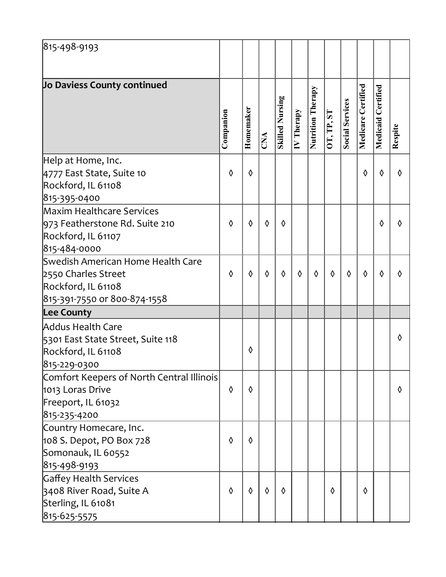| 815-498-9193                                                                                                   |            |           |            |                        |                         |                   |            |                        |                    |                       |         |
|----------------------------------------------------------------------------------------------------------------|------------|-----------|------------|------------------------|-------------------------|-------------------|------------|------------------------|--------------------|-----------------------|---------|
| Jo Daviess County continued                                                                                    | Companion  | Homemaker | CNA        | <b>Skilled Nursing</b> | $\overline{IV}$ Therapy | Nutrition Therapy | OT, TP, ST | <b>Social Services</b> | Medicare Certified | Certified<br>Medicaid | Respite |
| Help at Home, Inc.<br>4777 East State, Suite 10<br>Rockford, IL 61108<br>815-395-0400                          | ♦          | ♦         |            |                        |                         |                   |            |                        | $\Diamond$         | ♦                     | ♦       |
| Maxim Healthcare Services<br>973 Featherstone Rd. Suite 210<br>Rockford, IL 61107<br>815-484-0000              | $\Diamond$ | ♦         | $\Diamond$ | ♦                      |                         |                   |            |                        |                    | ♦                     | ♦       |
| Swedish American Home Health Care<br>2550 Charles Street<br>Rockford, IL 61108<br>815-391-7550 or 800-874-1558 | ♦          | ♦         | $\Diamond$ | ♦                      | $\Diamond$              | $\Diamond$        | $\Diamond$ | $\Diamond$             | $\Diamond$         | ♦                     | ♦       |
| <b>Lee County</b>                                                                                              |            |           |            |                        |                         |                   |            |                        |                    |                       |         |
| <b>Addus Health Care</b><br>5301 East State Street, Suite 118<br>Rockford, IL 61108<br>815-229-0300            |            | ♦         |            |                        |                         |                   |            |                        |                    |                       | ♦       |
| Comfort Keepers of North Central Illinois<br>1013 Loras Drive<br>Freeport, IL 61032<br>815-235-4200            | $\Diamond$ | ♦         |            |                        |                         |                   |            |                        |                    |                       | ♦       |
| Country Homecare, Inc.<br>108 S. Depot, PO Box 728<br>Somonauk, IL 60552<br>815-498-9193                       | ♦          | ♦         |            |                        |                         |                   |            |                        |                    |                       |         |
| Gaffey Health Services<br>3408 River Road, Suite A<br>Sterling, IL 61081<br>815-625-5575                       | ♦          | ♦         | $\Diamond$ | ♦                      |                         |                   | $\Diamond$ |                        | $\Diamond$         |                       |         |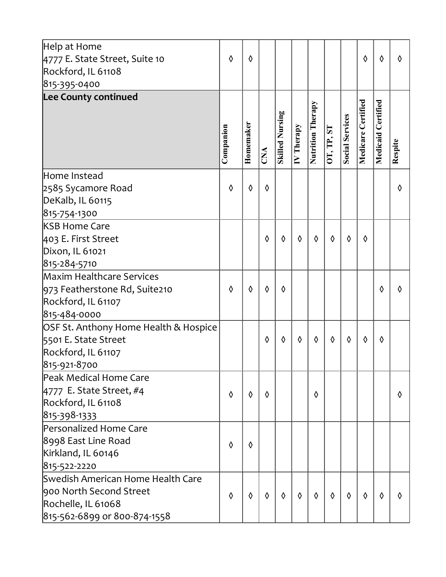| Help at Home<br>4777 E. State Street, Suite 10<br>Rockford, IL 61108 | ♦         | ♦         |            |                        |            |                   |            |                        | ♦                  | ♦                     | $\Diamond$ |
|----------------------------------------------------------------------|-----------|-----------|------------|------------------------|------------|-------------------|------------|------------------------|--------------------|-----------------------|------------|
| 815-395-0400                                                         |           |           |            |                        |            |                   |            |                        |                    |                       |            |
| Lee County continued                                                 | Companion | Homemaker | CNA        | <b>Skilled Nursing</b> | IV Therapy | Nutrition Therapy | OT, TP, ST | <b>Social Services</b> | Medicare Certified | Certified<br>Medicaid | Respite    |
| Home Instead                                                         |           |           |            |                        |            |                   |            |                        |                    |                       |            |
| 2585 Sycamore Road                                                   | ♦         | ♦         | ♦          |                        |            |                   |            |                        |                    |                       | ♦          |
| DeKalb, IL 60115                                                     |           |           |            |                        |            |                   |            |                        |                    |                       |            |
| 815-754-1300                                                         |           |           |            |                        |            |                   |            |                        |                    |                       |            |
| <b>KSB Home Care</b>                                                 |           |           |            |                        |            |                   |            |                        |                    |                       |            |
| 403 E. First Street                                                  |           |           | ♦          | ♦                      | ♦          | ♦                 | $\Diamond$ | $\Diamond$             | ♦                  |                       |            |
| Dixon, IL 61021                                                      |           |           |            |                        |            |                   |            |                        |                    |                       |            |
| 815-284-5710                                                         |           |           |            |                        |            |                   |            |                        |                    |                       |            |
| Maxim Healthcare Services                                            |           |           |            |                        |            |                   |            |                        |                    |                       |            |
| 973 Featherstone Rd, Suite210                                        | ♦         | ♦         | ♦          | ♦                      |            |                   |            |                        |                    | ♦                     | ♦          |
| Rockford, IL 61107                                                   |           |           |            |                        |            |                   |            |                        |                    |                       |            |
| 815-484-0000                                                         |           |           |            |                        |            |                   |            |                        |                    |                       |            |
| OSF St. Anthony Home Health & Hospice                                |           |           |            |                        |            |                   |            |                        |                    |                       |            |
| 5501 E. State Street<br>Rockford, IL 61107                           |           |           | ♦          | ♦                      | ♦          | ♦                 | $\Diamond$ | ♦                      | $\Diamond$         | ♦                     |            |
| 815-921-8700                                                         |           |           |            |                        |            |                   |            |                        |                    |                       |            |
| Peak Medical Home Care                                               |           |           |            |                        |            |                   |            |                        |                    |                       |            |
| $4777$ E. State Street, #4                                           |           |           |            |                        |            |                   |            |                        |                    |                       |            |
| Rockford, IL 61108                                                   | ♦         | ♦         | ♦          |                        |            | ♦                 |            |                        |                    |                       | ♦          |
| 815-398-1333                                                         |           |           |            |                        |            |                   |            |                        |                    |                       |            |
| Personalized Home Care                                               |           |           |            |                        |            |                   |            |                        |                    |                       |            |
| 8998 East Line Road                                                  |           |           |            |                        |            |                   |            |                        |                    |                       |            |
| Kirkland, IL 60146                                                   | ♦         | ♦         |            |                        |            |                   |            |                        |                    |                       |            |
| 815-522-2220                                                         |           |           |            |                        |            |                   |            |                        |                    |                       |            |
| Swedish American Home Health Care                                    |           |           |            |                        |            |                   |            |                        |                    |                       |            |
| 900 North Second Street                                              | ♦         | ♦         | $\Diamond$ | $\Diamond$             | $\Diamond$ | $\Diamond$        | $\Diamond$ | $\Diamond$             | $\Diamond$         | ♦                     | ♦          |
| Rochelle, IL 61068                                                   |           |           |            |                        |            |                   |            |                        |                    |                       |            |
| 815-562-6899 or 800-874-1558                                         |           |           |            |                        |            |                   |            |                        |                    |                       |            |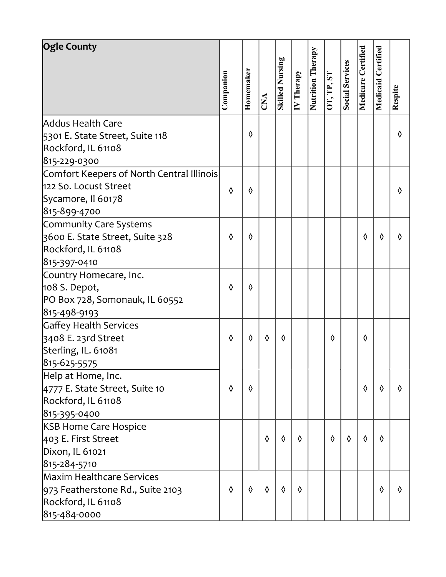|   | ♦                                                           |                |                         |                        |                        |                   |            |                        |                    | ♦                     |              |
|---|-------------------------------------------------------------|----------------|-------------------------|------------------------|------------------------|-------------------|------------|------------------------|--------------------|-----------------------|--------------|
|   |                                                             |                |                         |                        |                        |                   |            |                        |                    |                       |              |
|   |                                                             |                |                         |                        |                        |                   |            |                        |                    |                       |              |
|   |                                                             |                |                         |                        |                        |                   |            |                        |                    |                       |              |
|   |                                                             |                |                         |                        |                        |                   |            |                        |                    |                       |              |
|   |                                                             |                |                         |                        |                        |                   |            |                        |                    |                       |              |
|   |                                                             |                |                         |                        |                        |                   |            |                        |                    |                       |              |
|   |                                                             |                |                         |                        |                        |                   |            |                        |                    |                       |              |
| ♦ | ♦                                                           |                |                         |                        |                        |                   |            | ♦                      | ♦                  | ♦                     |              |
|   |                                                             |                |                         |                        |                        |                   |            |                        |                    |                       |              |
|   |                                                             |                |                         |                        |                        |                   |            |                        |                    |                       |              |
|   |                                                             |                |                         |                        |                        |                   |            |                        |                    |                       |              |
| ♦ | ♦                                                           |                |                         |                        |                        |                   |            |                        |                    |                       |              |
|   |                                                             |                |                         |                        |                        |                   |            |                        |                    |                       |              |
|   |                                                             |                |                         |                        |                        |                   |            |                        |                    |                       |              |
|   |                                                             |                |                         |                        |                        |                   |            |                        |                    |                       |              |
| ♦ | ♦                                                           | ♦              | ♦                       |                        |                        | ♦                 |            | ♦                      |                    |                       |              |
|   |                                                             |                |                         |                        |                        |                   |            |                        |                    |                       |              |
|   |                                                             |                |                         |                        |                        |                   |            |                        |                    |                       |              |
|   |                                                             |                |                         |                        |                        |                   |            |                        |                    |                       |              |
| ♦ | $\Diamond$                                                  |                |                         |                        |                        |                   |            | $\Diamond$             | $\Diamond$         | $\Diamond$            |              |
|   |                                                             |                |                         |                        |                        |                   |            |                        |                    |                       |              |
|   |                                                             |                |                         |                        |                        |                   |            |                        |                    |                       |              |
|   |                                                             |                |                         |                        |                        |                   |            |                        |                    |                       |              |
|   |                                                             | $\Diamond$     | ♦                       | ♦                      |                        | $\Diamond$        | ♦          | $\Diamond$             | ♦                  |                       |              |
|   |                                                             |                |                         |                        |                        |                   |            |                        |                    |                       |              |
|   |                                                             |                |                         |                        |                        |                   |            |                        |                    |                       |              |
|   |                                                             |                |                         |                        |                        |                   |            |                        |                    |                       |              |
| ♦ | ♦                                                           | $\Diamond$     | $\Diamond$              | $\Diamond$             |                        |                   |            |                        | ♦                  | ♦                     |              |
|   |                                                             |                |                         |                        |                        |                   |            |                        |                    |                       |              |
|   |                                                             |                |                         |                        |                        |                   |            |                        |                    |                       |              |
|   | Companion<br>Comfort Keepers of North Central Illinois<br>♦ | Homemaker<br>♦ | $\overline{\text{CNA}}$ | <b>Skilled Nursing</b> | $\overline{N}$ Therapy | Nutrition Therapy | OT, TP, ST | <b>Social Services</b> | Medicare Certified | Certified<br>Medicaid | Respite<br>♦ |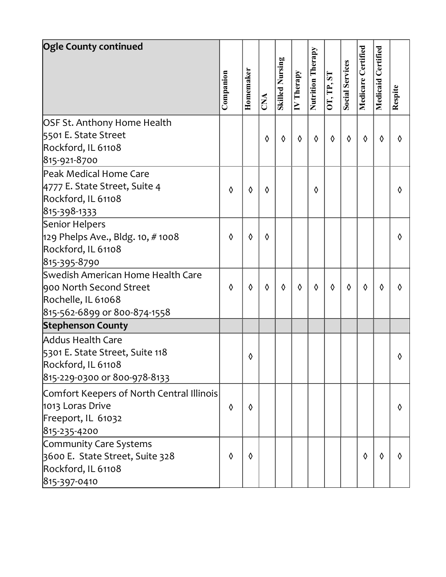| <b>Ogle County continued</b>                                                                                       |            |           |            |                        |                         |                   |            |                        |                    |            |         |
|--------------------------------------------------------------------------------------------------------------------|------------|-----------|------------|------------------------|-------------------------|-------------------|------------|------------------------|--------------------|------------|---------|
|                                                                                                                    |            |           |            |                        |                         |                   |            |                        |                    | Certified  |         |
|                                                                                                                    | Companion  | Homemaker | CNA        | <b>Skilled Nursing</b> | $\overline{IV}$ Therapy | Nutrition Therapy | OT, TP, ST | <b>Social Services</b> | Medicare Certified | Medicaid   | Respite |
| OSF St. Anthony Home Health<br>5501 E. State Street<br>Rockford, IL 61108<br>815-921-8700                          |            |           | ♦          | ♦                      | $\Diamond$              | ♦                 | $\Diamond$ | $\Diamond$             | $\Diamond$         | $\Diamond$ | ♦       |
| Peak Medical Home Care<br>4777 E. State Street, Suite 4<br>Rockford, IL 61108<br>815-398-1333                      | $\Diamond$ | ♦         | $\Diamond$ |                        |                         | ♦                 |            |                        |                    |            | ♦       |
| Senior Helpers<br>$129$ Phelps Ave., Bldg. 10, #1008<br>Rockford, IL 61108<br>815-395-8790                         | ♦          | ♦         | ♦          |                        |                         |                   |            |                        |                    |            | ♦       |
| Swedish American Home Health Care<br>900 North Second Street<br>Rochelle, IL 61068<br>815-562-6899 or 800-874-1558 | $\Diamond$ | ♦         | $\Diamond$ | ♦                      | $\Diamond$              | $\Diamond$        | $\Diamond$ | $\Diamond$             | $\Diamond$         | $\Diamond$ | ♦       |
| <b>Stephenson County</b>                                                                                           |            |           |            |                        |                         |                   |            |                        |                    |            |         |
| <b>Addus Health Care</b><br>5301 E. State Street, Suite 118<br>Rockford, IL 61108<br>815-229-0300 or 800-978-8133  |            | ♦         |            |                        |                         |                   |            |                        |                    |            | ♦       |
| Comfort Keepers of North Central Illinois<br>1013 Loras Drive<br>Freeport, IL 61032<br>815-235-4200                | ♦          | ♦         |            |                        |                         |                   |            |                        |                    |            | ♦       |
| Community Care Systems<br>3600 E. State Street, Suite 328<br>Rockford, IL 61108<br>815-397-0410                    | $\Diamond$ | ♦         |            |                        |                         |                   |            |                        | $\Diamond$         | ♦          | ♦       |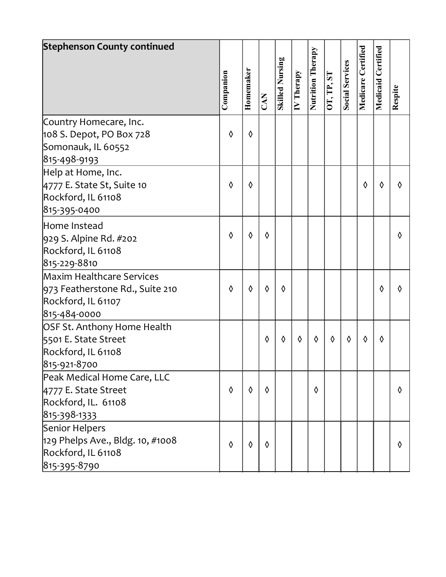| <b>Stephenson County continued</b>                                                                 |           |           |            |                        |                         |                   |            |                        |                    | Certified |         |
|----------------------------------------------------------------------------------------------------|-----------|-----------|------------|------------------------|-------------------------|-------------------|------------|------------------------|--------------------|-----------|---------|
|                                                                                                    | Companion | Homemaker | CAN        | <b>Skilled Nursing</b> | $\overline{IV}$ Therapy | Nutrition Therapy | OT, TP, ST | <b>Social Services</b> | Medicare Certified | Medicaid  | Respite |
| Country Homecare, Inc.<br>108 S. Depot, PO Box 728<br>Somonauk, IL 60552<br>815-498-9193           | ♦         | ♦         |            |                        |                         |                   |            |                        |                    |           |         |
| Help at Home, Inc.<br>4777 E. State St, Suite 10<br>Rockford, IL 61108<br>815-395-0400             | ♦         | ♦         |            |                        |                         |                   |            |                        | $\Diamond$         | ♦         | ♦       |
| Home Instead<br>929 S. Alpine Rd. #202<br>Rockford, IL 61108<br>815-229-8810                       | ♦         | ♦         | ♦          |                        |                         |                   |            |                        |                    |           | ♦       |
| Maxim Healthcare Services<br>973 Featherstone Rd., Suite 210<br>Rockford, IL 61107<br>815-484-0000 | ♦         | ♦         | ♦          | ♦                      |                         |                   |            |                        |                    | ♦         | ♦       |
| OSF St. Anthony Home Health<br>5501 E. State Street<br>Rockford, IL 61108<br>815-921-8700          |           |           | $\Diamond$ | ♦                      | ♦                       | ♦                 | $\Diamond$ | ♦                      | $\Diamond$         | ♦         |         |
| Peak Medical Home Care, LLC<br>4777 E. State Street<br>Rockford, IL. 61108<br>815-398-1333         | ♦         | ♦         | $\Diamond$ |                        |                         | ♦                 |            |                        |                    |           | ♦       |
| Senior Helpers<br>$129$ Phelps Ave., Bldg. 10, #1008<br>Rockford, IL 61108<br>815-395-8790         | ♦         | ♦         | $\Diamond$ |                        |                         |                   |            |                        |                    |           | ♦       |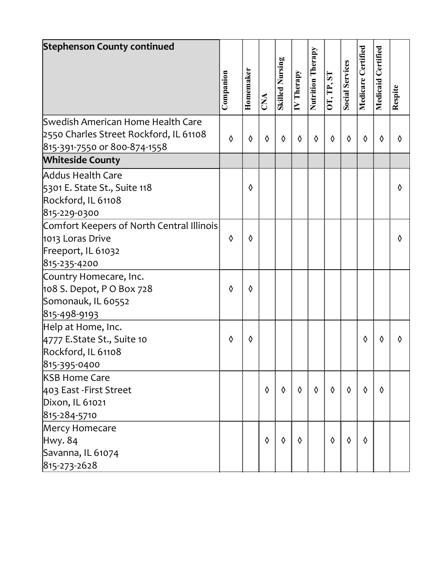| <b>Stephenson County continued</b>        |            |            |                         |                        |                         |                   |            |                        |                    |           |         |
|-------------------------------------------|------------|------------|-------------------------|------------------------|-------------------------|-------------------|------------|------------------------|--------------------|-----------|---------|
|                                           |            |            |                         |                        |                         |                   |            |                        |                    |           |         |
|                                           |            |            |                         |                        |                         |                   |            |                        |                    | Certified |         |
|                                           |            |            |                         |                        |                         |                   |            |                        |                    |           |         |
|                                           | Companion  | Homemaker  | $\overline{\text{CNA}}$ | <b>Skilled Nursing</b> | $\overline{IV}$ Therapy | Nutrition Therapy | OT, TP, ST | <b>Social Services</b> | Medicare Certified | Medicaid  | Respite |
|                                           |            |            |                         |                        |                         |                   |            |                        |                    |           |         |
| Swedish American Home Health Care         |            |            |                         |                        |                         |                   |            |                        |                    |           |         |
| 2550 Charles Street Rockford, IL 61108    | $\Diamond$ | ♦          | $\Diamond$              | ♦                      | $\Diamond$              | ♦                 | $\Diamond$ | ♦                      | ♦                  | ♦         | ♦       |
| 815-391-7550 or 800-874-1558              |            |            |                         |                        |                         |                   |            |                        |                    |           |         |
| <b>Whiteside County</b>                   |            |            |                         |                        |                         |                   |            |                        |                    |           |         |
| <b>Addus Health Care</b>                  |            |            |                         |                        |                         |                   |            |                        |                    |           |         |
| 5301 E. State St., Suite 118              |            | ♦          |                         |                        |                         |                   |            |                        |                    |           | ♦       |
| Rockford, IL 61108                        |            |            |                         |                        |                         |                   |            |                        |                    |           |         |
| 815-229-0300                              |            |            |                         |                        |                         |                   |            |                        |                    |           |         |
| Comfort Keepers of North Central Illinois |            |            |                         |                        |                         |                   |            |                        |                    |           |         |
| 1013 Loras Drive                          | $\Diamond$ | $\Diamond$ |                         |                        |                         |                   |            |                        |                    |           | ♦       |
| Freeport, IL 61032                        |            |            |                         |                        |                         |                   |            |                        |                    |           |         |
| 815-235-4200                              |            |            |                         |                        |                         |                   |            |                        |                    |           |         |
| Country Homecare, Inc.                    |            |            |                         |                        |                         |                   |            |                        |                    |           |         |
| 108 S. Depot, P O Box 728                 | ♦          | ♦          |                         |                        |                         |                   |            |                        |                    |           |         |
| Somonauk, IL 60552                        |            |            |                         |                        |                         |                   |            |                        |                    |           |         |
| 815-498-9193                              |            |            |                         |                        |                         |                   |            |                        |                    |           |         |
| Help at Home, Inc.                        |            |            |                         |                        |                         |                   |            |                        |                    |           |         |
| 4777 E.State St., Suite 10                | ♦          | ♦          |                         |                        |                         |                   |            |                        | ♦                  | ◊         | ♦       |
| Rockford, IL 61108                        |            |            |                         |                        |                         |                   |            |                        |                    |           |         |
| 815-395-0400                              |            |            |                         |                        |                         |                   |            |                        |                    |           |         |
| <b>KSB Home Care</b>                      |            |            |                         |                        |                         |                   |            |                        |                    |           |         |
| 403 East - First Street                   |            |            | $\Diamond$              | ♦                      | $\Diamond$              | $\Diamond$        | $\Diamond$ | ♦                      | $\Diamond$         | ♦         |         |
| Dixon, IL 61021                           |            |            |                         |                        |                         |                   |            |                        |                    |           |         |
| 815-284-5710                              |            |            |                         |                        |                         |                   |            |                        |                    |           |         |
| Mercy Homecare                            |            |            |                         |                        |                         |                   |            |                        |                    |           |         |
| Hwy. 84                                   |            |            | $\Diamond$              | $\Diamond$             | $\Diamond$              |                   | $\Diamond$ | $\Diamond$             | $\Diamond$         |           |         |
| Savanna, IL 61074                         |            |            |                         |                        |                         |                   |            |                        |                    |           |         |
| 815-273-2628                              |            |            |                         |                        |                         |                   |            |                        |                    |           |         |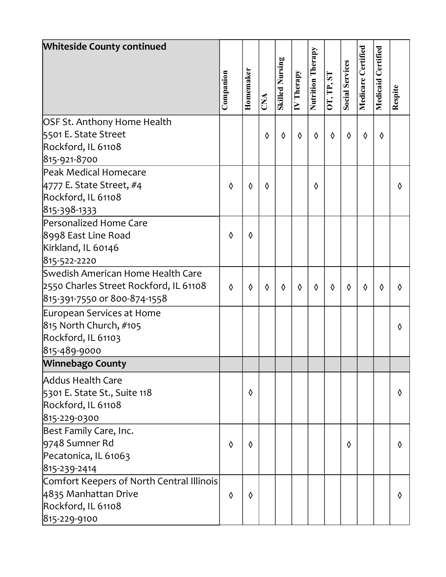| <b>Whiteside County continued</b>         |            |           |            |                        |                         |                   |            |                        |                    |                       |         |  |
|-------------------------------------------|------------|-----------|------------|------------------------|-------------------------|-------------------|------------|------------------------|--------------------|-----------------------|---------|--|
|                                           | Companion  | Homemaker | CNA        | <b>Skilled Nursing</b> | $\overline{IV}$ Therapy | Nutrition Therapy | OT, TP, ST | <b>Social Services</b> | Medicare Certified | Certified<br>Medicaid | Respite |  |
| OSF St. Anthony Home Health               |            |           |            |                        |                         |                   |            |                        |                    |                       |         |  |
| 5501 E. State Street                      |            |           | ♦          | ♦                      | $\Diamond$              | ♦                 | $\Diamond$ | ♦                      | $\Diamond$         | ♦                     |         |  |
| Rockford, IL 61108                        |            |           |            |                        |                         |                   |            |                        |                    |                       |         |  |
| 815-921-8700                              |            |           |            |                        |                         |                   |            |                        |                    |                       |         |  |
| Peak Medical Homecare                     |            |           |            |                        |                         |                   |            |                        |                    |                       |         |  |
| 4777 E. State Street, #4                  | ♦          | ♦         | ♦          |                        |                         | $\Diamond$        |            |                        |                    |                       | ♦       |  |
| Rockford, IL 61108                        |            |           |            |                        |                         |                   |            |                        |                    |                       |         |  |
| 815-398-1333                              |            |           |            |                        |                         |                   |            |                        |                    |                       |         |  |
| Personalized Home Care                    |            |           |            |                        |                         |                   |            |                        |                    |                       |         |  |
| 8998 East Line Road                       | $\Diamond$ | ♦         |            |                        |                         |                   |            |                        |                    |                       |         |  |
| Kirkland, IL 60146                        |            |           |            |                        |                         |                   |            |                        |                    |                       |         |  |
| 815-522-2220                              |            |           |            |                        |                         |                   |            |                        |                    |                       |         |  |
| Swedish American Home Health Care         |            |           |            |                        |                         |                   |            |                        |                    |                       |         |  |
| 2550 Charles Street Rockford, IL 61108    | $\Diamond$ | ♦         | $\Diamond$ | ♦                      | $\Diamond$              | $\Diamond$        | $\Diamond$ | $\Diamond$             | $\Diamond$         | ♦                     | ♦       |  |
| 815-391-7550 or 800-874-1558              |            |           |            |                        |                         |                   |            |                        |                    |                       |         |  |
| European Services at Home                 |            |           |            |                        |                         |                   |            |                        |                    |                       |         |  |
| 815 North Church, #105                    |            |           |            |                        |                         |                   |            |                        |                    |                       | ♦       |  |
| Rockford, IL 61103                        |            |           |            |                        |                         |                   |            |                        |                    |                       |         |  |
| 815-489-9000                              |            |           |            |                        |                         |                   |            |                        |                    |                       |         |  |
| <b>Winnebago County</b>                   |            |           |            |                        |                         |                   |            |                        |                    |                       |         |  |
| Addus Health Care                         |            |           |            |                        |                         |                   |            |                        |                    |                       |         |  |
| 5301 E. State St., Suite 118              |            | ♦         |            |                        |                         |                   |            |                        |                    |                       | ♦       |  |
| Rockford, IL 61108                        |            |           |            |                        |                         |                   |            |                        |                    |                       |         |  |
| 815-229-0300                              |            |           |            |                        |                         |                   |            |                        |                    |                       |         |  |
| Best Family Care, Inc.                    |            |           |            |                        |                         |                   |            |                        |                    |                       |         |  |
| 9748 Sumner Rd                            | ♦          | ♦         |            |                        |                         |                   |            | ◊                      |                    |                       | ♦       |  |
| Pecatonica, IL 61063                      |            |           |            |                        |                         |                   |            |                        |                    |                       |         |  |
| 815-239-2414                              |            |           |            |                        |                         |                   |            |                        |                    |                       |         |  |
| Comfort Keepers of North Central Illinois |            |           |            |                        |                         |                   |            |                        |                    |                       |         |  |
| 4835 Manhattan Drive                      | ♦          | ♦         |            |                        |                         |                   |            |                        |                    |                       | ♦       |  |
| Rockford, IL 61108                        |            |           |            |                        |                         |                   |            |                        |                    |                       |         |  |
| 815-229-9100                              |            |           |            |                        |                         |                   |            |                        |                    |                       |         |  |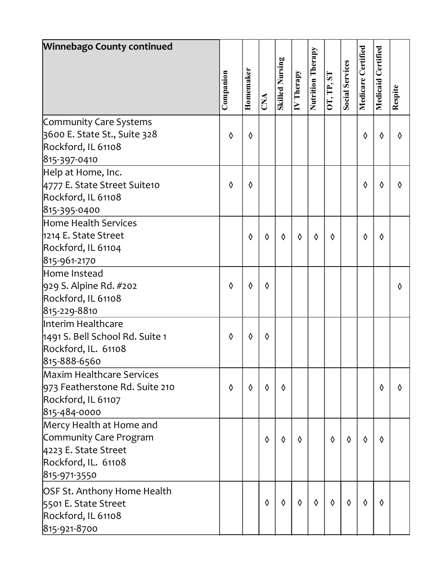| <b>Winnebago County continued</b> |            |           |            |                        |                        |                          |            |                        |                    |           |            |  |
|-----------------------------------|------------|-----------|------------|------------------------|------------------------|--------------------------|------------|------------------------|--------------------|-----------|------------|--|
|                                   |            |           |            |                        |                        |                          |            |                        |                    | Certified |            |  |
|                                   | Companion  | Homemaker | CNA        | <b>Skilled Nursing</b> | $\overline{N}$ Therapy | <b>Nutrition Therapy</b> | OT, TP, ST | <b>Social Services</b> | Medicare Certified | Medicaid  | Respite    |  |
| Community Care Systems            |            |           |            |                        |                        |                          |            |                        |                    |           |            |  |
| 3600 E. State St., Suite 328      | ♦          | ♦         |            |                        |                        |                          |            |                        | ♦                  | ♦         | ♦          |  |
| Rockford, IL 61108                |            |           |            |                        |                        |                          |            |                        |                    |           |            |  |
| 815-397-0410                      |            |           |            |                        |                        |                          |            |                        |                    |           |            |  |
| Help at Home, Inc.                |            |           |            |                        |                        |                          |            |                        |                    |           |            |  |
| 4777 E. State Street Suite10      | ♦          | ♦         |            |                        |                        |                          |            |                        | $\Diamond$         | ♦         | ♦          |  |
| Rockford, IL 61108                |            |           |            |                        |                        |                          |            |                        |                    |           |            |  |
| 815-395-0400                      |            |           |            |                        |                        |                          |            |                        |                    |           |            |  |
| Home Health Services              |            |           |            |                        |                        |                          |            |                        |                    |           |            |  |
| 1214 E. State Street              |            | ♦         | $\Diamond$ | ♦                      | ♦                      | ♦                        | ♦          |                        | ♦                  | ♦         |            |  |
| Rockford, IL 61104                |            |           |            |                        |                        |                          |            |                        |                    |           |            |  |
| 815-961-2170                      |            |           |            |                        |                        |                          |            |                        |                    |           |            |  |
| Home Instead                      |            |           |            |                        |                        |                          |            |                        |                    |           |            |  |
| 929 S. Alpine Rd. #202            | ♦          | ♦         | ♦          |                        |                        |                          |            |                        |                    |           | ♦          |  |
| Rockford, IL 61108                |            |           |            |                        |                        |                          |            |                        |                    |           |            |  |
| 815-229-8810                      |            |           |            |                        |                        |                          |            |                        |                    |           |            |  |
| Interim Healthcare                |            |           |            |                        |                        |                          |            |                        |                    |           |            |  |
| 1491 S. Bell School Rd. Suite 1   | $\Diamond$ | ♦         | ♦          |                        |                        |                          |            |                        |                    |           |            |  |
| Rockford, IL. 61108               |            |           |            |                        |                        |                          |            |                        |                    |           |            |  |
| 815-888-6560                      |            |           |            |                        |                        |                          |            |                        |                    |           |            |  |
| Maxim Healthcare Services         |            |           |            |                        |                        |                          |            |                        |                    |           |            |  |
| 973 Featherstone Rd. Suite 210    | ♦          | ♦         | $\Diamond$ | ♦                      |                        |                          |            |                        |                    | ♦         | $\Diamond$ |  |
| Rockford, IL 61107                |            |           |            |                        |                        |                          |            |                        |                    |           |            |  |
| 815-484-0000                      |            |           |            |                        |                        |                          |            |                        |                    |           |            |  |
| Mercy Health at Home and          |            |           |            |                        |                        |                          |            |                        |                    |           |            |  |
| Community Care Program            |            |           | $\Diamond$ | $\Diamond$             | $\Diamond$             |                          | $\Diamond$ | $\Diamond$             | $\Diamond$         | ♦         |            |  |
| 4223 E. State Street              |            |           |            |                        |                        |                          |            |                        |                    |           |            |  |
| Rockford, IL. 61108               |            |           |            |                        |                        |                          |            |                        |                    |           |            |  |
| 815-971-3550                      |            |           |            |                        |                        |                          |            |                        |                    |           |            |  |
| OSF St. Anthony Home Health       |            |           |            |                        |                        |                          |            |                        |                    |           |            |  |
| 5501 E. State Street              |            |           | ♦          | ♦                      | $\Diamond$             | ♦                        | $\Diamond$ | $\Diamond$             | ♦                  | ♦         |            |  |
| Rockford, IL 61108                |            |           |            |                        |                        |                          |            |                        |                    |           |            |  |
| 815-921-8700                      |            |           |            |                        |                        |                          |            |                        |                    |           |            |  |